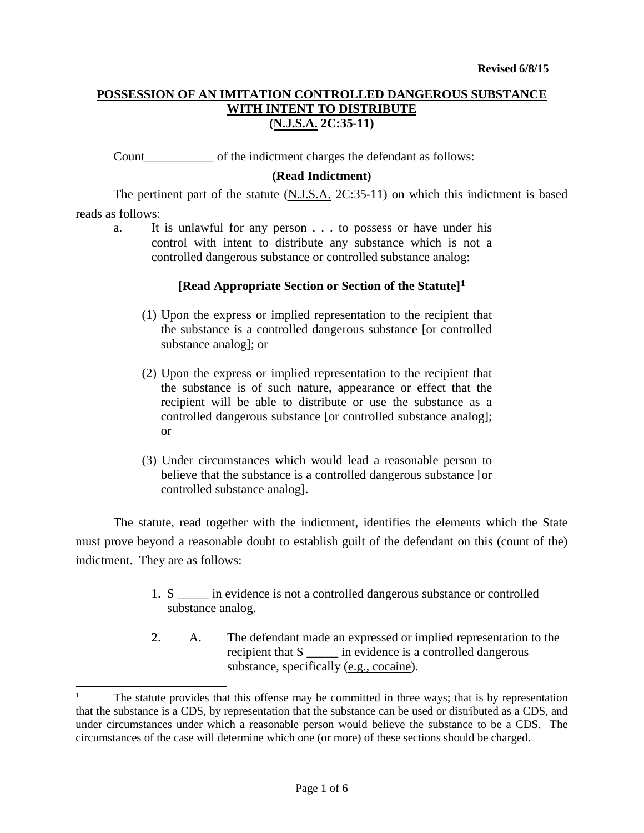Count of the indictment charges the defendant as follows:

# **(Read Indictment)**

The pertinent part of the statute  $(N.J.S.A. 2C:35-11)$  on which this indictment is based reads as follows:

a. It is unlawful for any person . . . to possess or have under his control with intent to distribute any substance which is not a controlled dangerous substance or controlled substance analog:

# **[Read Appropriate Section or Section of the Statute][1](#page-0-0)**

- (1) Upon the express or implied representation to the recipient that the substance is a controlled dangerous substance [or controlled substance analog]; or
- (2) Upon the express or implied representation to the recipient that the substance is of such nature, appearance or effect that the recipient will be able to distribute or use the substance as a controlled dangerous substance [or controlled substance analog]; or
- (3) Under circumstances which would lead a reasonable person to believe that the substance is a controlled dangerous substance [or controlled substance analog].

The statute, read together with the indictment, identifies the elements which the State must prove beyond a reasonable doubt to establish guilt of the defendant on this (count of the) indictment. They are as follows:

- 1. S \_\_\_\_\_ in evidence is not a controlled dangerous substance or controlled substance analog.
- 2. A. The defendant made an expressed or implied representation to the recipient that S \_\_\_\_\_ in evidence is a controlled dangerous substance, specifically (e.g., cocaine).

j

<span id="page-0-0"></span><sup>1</sup> The statute provides that this offense may be committed in three ways; that is by representation that the substance is a CDS, by representation that the substance can be used or distributed as a CDS, and under circumstances under which a reasonable person would believe the substance to be a CDS. The circumstances of the case will determine which one (or more) of these sections should be charged.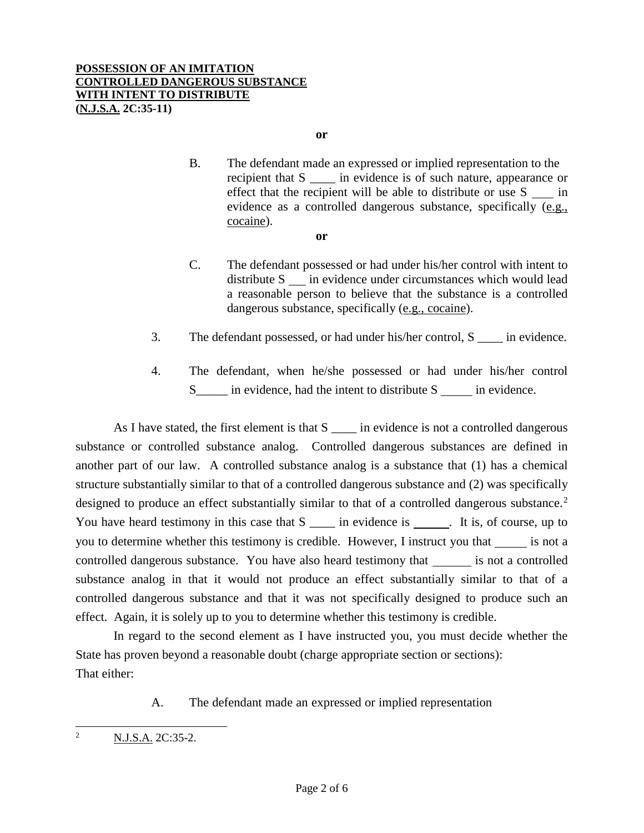**or**

- B. The defendant made an expressed or implied representation to the recipient that S \_\_\_\_ in evidence is of such nature, appearance or effect that the recipient will be able to distribute or use S in evidence as a controlled dangerous substance, specifically (e.g., cocaine).
	- **or**
- C. The defendant possessed or had under his/her control with intent to distribute S in evidence under circumstances which would lead a reasonable person to believe that the substance is a controlled dangerous substance, specifically (e.g., cocaine).
- 3. The defendant possessed, or had under his/her control, S \_\_\_\_ in evidence.
- 4. The defendant, when he/she possessed or had under his/her control S<sub>\_\_\_\_\_</sub> in evidence, had the intent to distribute S in evidence.

As I have stated, the first element is that  $S$   $\qquad$  in evidence is not a controlled dangerous substance or controlled substance analog. Controlled dangerous substances are defined in another part of our law. A controlled substance analog is a substance that (1) has a chemical structure substantially similar to that of a controlled dangerous substance and (2) was specifically designed to produce an effect substantially similar to that of a controlled dangerous substance.<sup>[2](#page-1-0)</sup> You have heard testimony in this case that S \_\_\_\_\_ in evidence is . It is, of course, up to you to determine whether this testimony is credible. However, I instruct you that is not a controlled dangerous substance. You have also heard testimony that \_\_\_\_\_\_\_ is not a controlled substance analog in that it would not produce an effect substantially similar to that of a controlled dangerous substance and that it was not specifically designed to produce such an effect. Again, it is solely up to you to determine whether this testimony is credible.

In regard to the second element as I have instructed you, you must decide whether the State has proven beyond a reasonable doubt (charge appropriate section or sections): That either:

A. The defendant made an expressed or implied representation

<span id="page-1-0"></span><sup>2</sup> N.J.S.A. 2C:35-2.  $\overline{2}$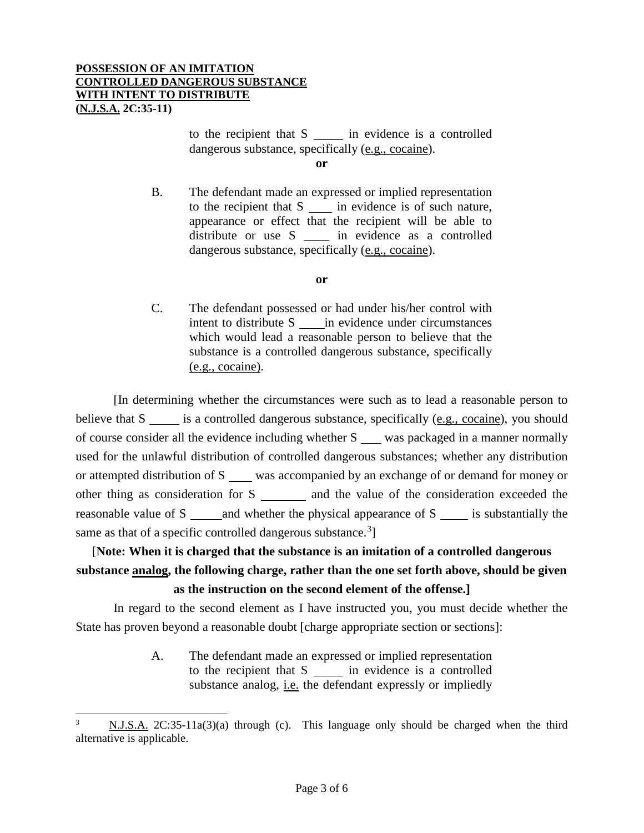to the recipient that S in evidence is a controlled dangerous substance, specifically (e.g., cocaine).

**or**

B. The defendant made an expressed or implied representation to the recipient that S in evidence is of such nature, appearance or effect that the recipient will be able to distribute or use S \_\_\_\_\_ in evidence as a controlled dangerous substance, specifically (e.g., cocaine).

### **or**

C. The defendant possessed or had under his/her control with intent to distribute S in evidence under circumstances which would lead a reasonable person to believe that the substance is a controlled dangerous substance, specifically (e.g., cocaine).

[In determining whether the circumstances were such as to lead a reasonable person to believe that S is a controlled dangerous substance, specifically (e.g., cocaine), you should of course consider all the evidence including whether S \_\_\_\_ was packaged in a manner normally used for the unlawful distribution of controlled dangerous substances; whether any distribution or attempted distribution of S was accompanied by an exchange of or demand for money or other thing as consideration for S \_\_\_\_\_\_\_ and the value of the consideration exceeded the reasonable value of S and whether the physical appearance of S is substantially the same as that of a specific controlled dangerous substance.<sup>[3](#page-2-0)</sup>]

# [**Note: When it is charged that the substance is an imitation of a controlled dangerous substance analog, the following charge, rather than the one set forth above, should be given as the instruction on the second element of the offense.]**

In regard to the second element as I have instructed you, you must decide whether the State has proven beyond a reasonable doubt [charge appropriate section or sections]:

> A. The defendant made an expressed or implied representation to the recipient that  $S \_$ in evidence is a controlled substance analog, *i.e.* the defendant expressly or impliedly

<span id="page-2-0"></span> $N.J.S.A. 2C:35-11a(3)(a)$  through (c). This language only should be charged when the third alternative is applicable. -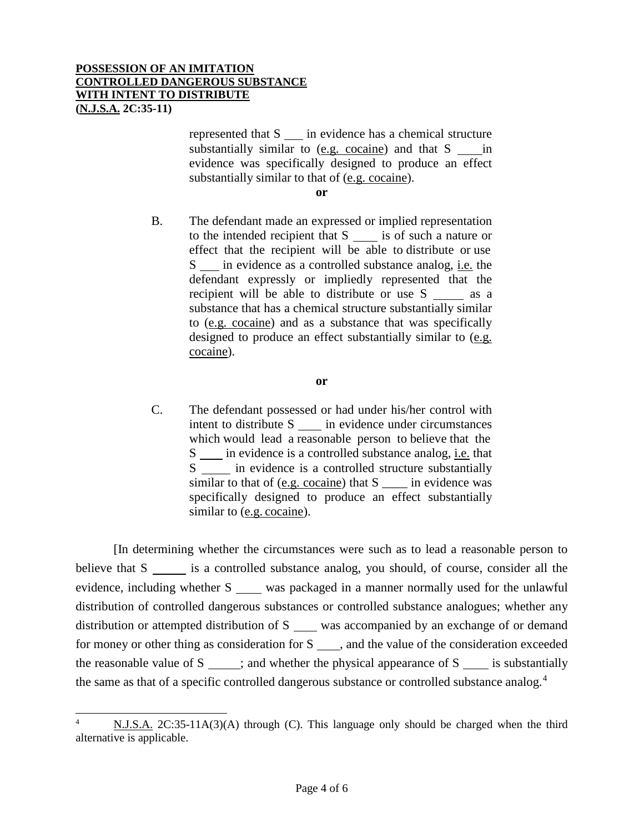represented that S in evidence has a chemical structure substantially similar to  $(e.g. cocaine)$  and that  $S$  in evidence was specifically designed to produce an effect substantially similar to that of (e.g. cocaine).

**or**

B. The defendant made an expressed or implied representation to the intended recipient that  $S$  is of such a nature or effect that the recipient will be able to distribute or use S in evidence as a controlled substance analog, i.e. the defendant expressly or impliedly represented that the recipient will be able to distribute or use  $S \_$ as a substance that has a chemical structure substantially similar to (e.g. cocaine) and as a substance that was specifically designed to produce an effect substantially similar to (e.g. cocaine).

**or**

C. The defendant possessed or had under his/her control with intent to distribute S in evidence under circumstances which would lead a reasonable person to believe that the S in evidence is a controlled substance analog, i.e. that S in evidence is a controlled structure substantially similar to that of (e.g. cocaine) that S \_\_\_\_ in evidence was specifically designed to produce an effect substantially similar to (e.g. cocaine).

[In determining whether the circumstances were such as to lead a reasonable person to believe that S is a controlled substance analog, you should, of course, consider all the evidence, including whether S was packaged in a manner normally used for the unlawful distribution of controlled dangerous substances or controlled substance analogues; whether any distribution or attempted distribution of  $S$  was accompanied by an exchange of or demand for money or other thing as consideration for  $S \_\_\_\$ , and the value of the consideration exceeded the reasonable value of  $S \_$ ; and whether the physical appearance of  $S \_$  is substantially the same as that of a specific controlled dangerous substance or controlled substance analog.<sup>[4](#page-3-0)</sup>

<span id="page-3-0"></span>N.J.S.A. 2C:35-11A(3)(A) through (C). This language only should be charged when the third alternative is applicable.  $\overline{4}$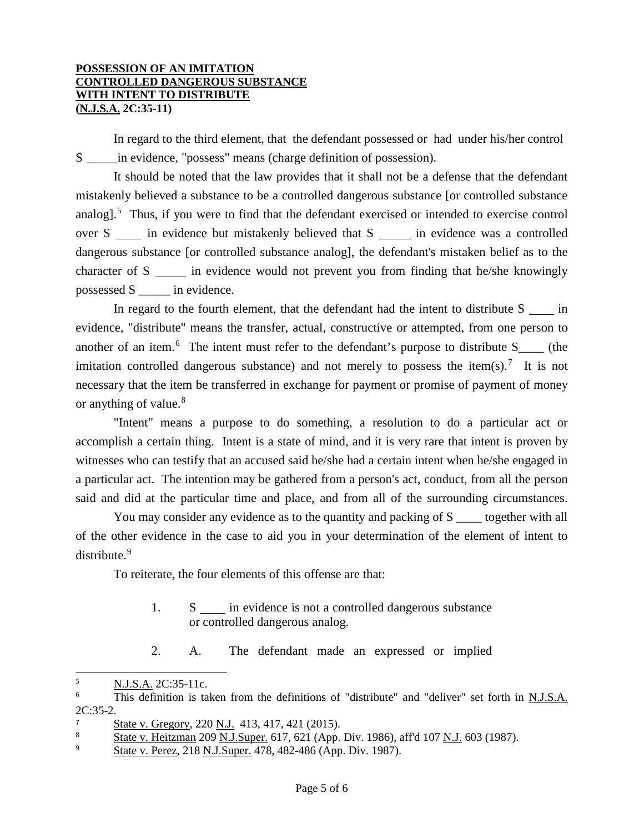In regard to the third element, that the defendant possessed or had under his/her control S in evidence, "possess" means (charge definition of possession).

It should be noted that the law provides that it shall not be a defense that the defendant mistakenly believed a substance to be a controlled dangerous substance [or controlled substance analog].<sup>[5](#page-4-0)</sup> Thus, if you were to find that the defendant exercised or intended to exercise control over S in evidence but mistakenly believed that S in evidence was a controlled dangerous substance [or controlled substance analog], the defendant's mistaken belief as to the character of S in evidence would not prevent you from finding that he/she knowingly possessed S \_\_\_\_\_ in evidence.

In regard to the fourth element, that the defendant had the intent to distribute  $S$  in evidence, "distribute" means the transfer, actual, constructive or attempted, from one person to another of an item.<sup>[6](#page-4-1)</sup> The intent must refer to the defendant's purpose to distribute  $S_{\text{max}}$  (the imitation controlled dangerous substance) and not merely to possess the item(s).<sup>[7](#page-4-2)</sup> It is not necessary that the item be transferred in exchange for payment or promise of payment of money or anything of value.<sup>[8](#page-4-3)</sup>

"Intent" means a purpose to do something, a resolution to do a particular act or accomplish a certain thing. Intent is a state of mind, and it is very rare that intent is proven by witnesses who can testify that an accused said he/she had a certain intent when he/she engaged in a particular act. The intention may be gathered from a person's act, conduct, from all the person said and did at the particular time and place, and from all of the surrounding circumstances.

You may consider any evidence as to the quantity and packing of S \_\_\_\_ together with all of the other evidence in the case to aid you in your determination of the element of intent to distribute.<sup>[9](#page-4-4)</sup>

To reiterate, the four elements of this offense are that:

- 1. S in evidence is not a controlled dangerous substance or controlled dangerous analog.
- 2. A. The defendant made an expressed or implied

<span id="page-4-0"></span> $\frac{5}{6}$  N.J.S.A. 2C:35-11c. 5

<span id="page-4-1"></span>This definition is taken from the definitions of "distribute" and "deliver" set forth in N.J.S.A. 2C:35-2.

<span id="page-4-2"></span> $\frac{7}{8}$  State v. Gregory, 220 N.J. 413, 417, 421 (2015).

<span id="page-4-3"></span><sup>8</sup> State v. Heitzman 209 N.J.Super. 617, 621 (App. Div. 1986), aff'd 107 N.J. 603 (1987).

<span id="page-4-4"></span>State v. Perez, 218 N.J.Super. 478, 482-486 (App. Div. 1987).